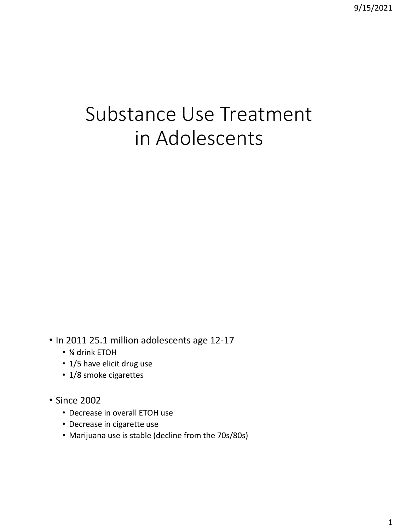# Substance Use Treatment in Adolescents

• In 2011 25.1 million adolescents age 12-17

- ¼ drink ETOH
- 1/5 have elicit drug use
- 1/8 smoke cigarettes
- Since 2002
	- Decrease in overall ETOH use
	- Decrease in cigarette use
	- Marijuana use is stable (decline from the 70s/80s)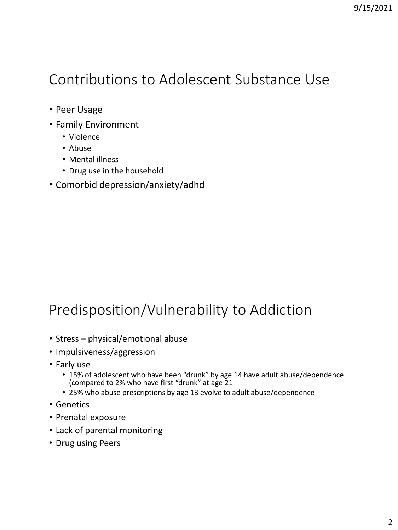### Contributions to Adolescent Substance Use

- Peer Usage
- Family Environment
	- Violence
	- Abuse
	- Mental illness
	- Drug use in the household
- Comorbid depression/anxiety/adhd

## Predisposition/Vulnerability to Addiction

- Stress physical/emotional abuse
- Impulsiveness/aggression
- Early use
	- 15% of adolescent who have been "drunk" by age 14 have adult abuse/dependence (compared to 2% who have first "drunk" at age 21
	- 25% who abuse prescriptions by age 13 evolve to adult abuse/dependence
- Genetics
- Prenatal exposure
- Lack of parental monitoring
- Drug using Peers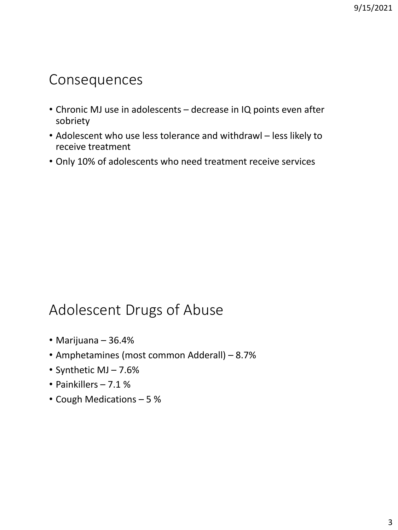#### Consequences

- Chronic MJ use in adolescents decrease in IQ points even after sobriety
- Adolescent who use less tolerance and withdrawl less likely to receive treatment
- Only 10% of adolescents who need treatment receive services

### Adolescent Drugs of Abuse

- Marijuana 36.4%
- Amphetamines (most common Adderall) 8.7%
- Synthetic MJ 7.6%
- Painkillers 7.1 %
- Cough Medications 5 %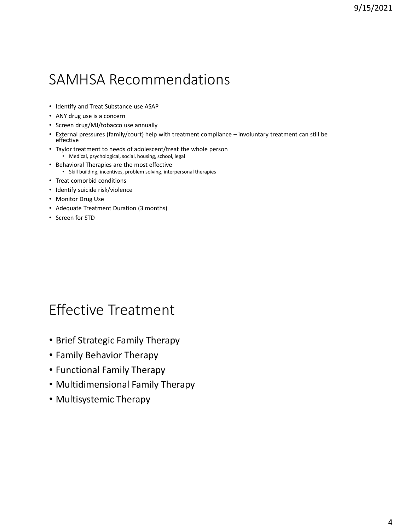### SAMHSA Recommendations

- Identify and Treat Substance use ASAP
- ANY drug use is a concern
- Screen drug/MJ/tobacco use annually
- External pressures (family/court) help with treatment compliance involuntary treatment can still be effective
- Taylor treatment to needs of adolescent/treat the whole person • Medical, psychological, social, housing, school, legal
- Behavioral Therapies are the most effective • Skill building, incentives, problem solving, interpersonal therapies
- Treat comorbid conditions
- Identify suicide risk/violence
- Monitor Drug Use
- Adequate Treatment Duration (3 months)
- Screen for STD

#### Effective Treatment

- Brief Strategic Family Therapy
- Family Behavior Therapy
- Functional Family Therapy
- Multidimensional Family Therapy
- Multisystemic Therapy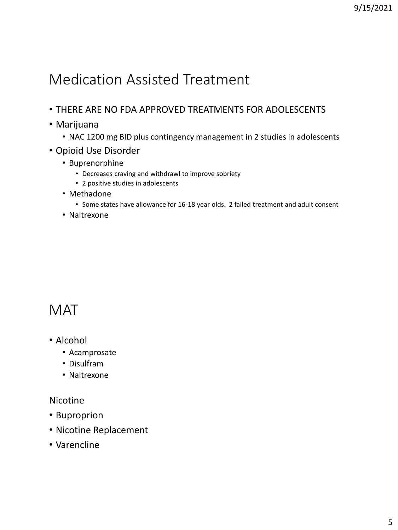### Medication Assisted Treatment

- THERE ARE NO FDA APPROVED TREATMENTS FOR ADOLESCENTS
- Marijuana
	- NAC 1200 mg BID plus contingency management in 2 studies in adolescents
- Opioid Use Disorder
	- Buprenorphine
		- Decreases craving and withdrawl to improve sobriety
		- 2 positive studies in adolescents
	- Methadone
		- Some states have allowance for 16-18 year olds. 2 failed treatment and adult consent
	- Naltrexone

#### **MAT**

- Alcohol
	- Acamprosate
	- Disulfram
	- Naltrexone

#### Nicotine

- Buproprion
- Nicotine Replacement
- Varencline